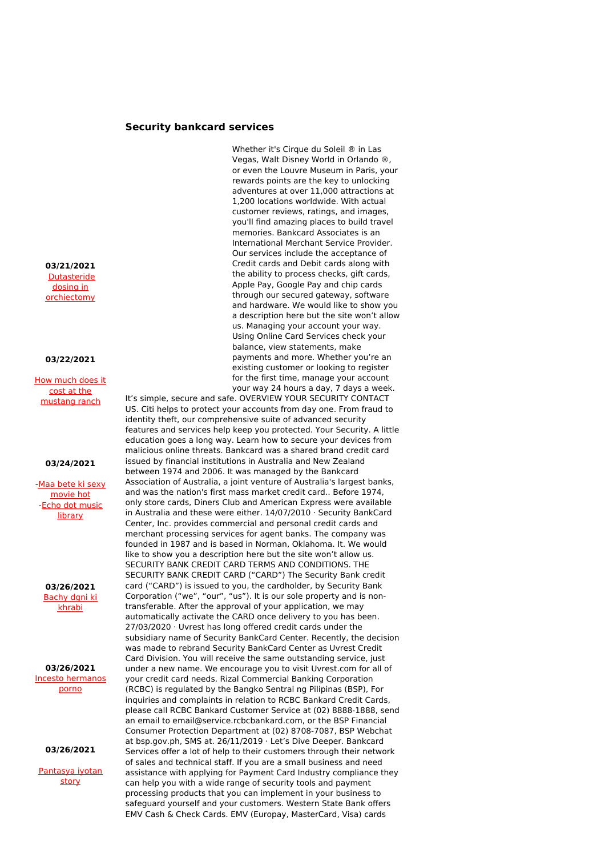# **Security bankcard services**

Whether it's Cirque du Soleil ® in Las Vegas, Walt Disney World in Orlando ®, or even the Louvre Museum in Paris, your rewards points are the key to unlocking adventures at over 11,000 attractions at 1,200 locations worldwide. With actual customer reviews, ratings, and images, you'll find amazing places to build travel memories. Bankcard Associates is an International Merchant Service Provider. Our services include the acceptance of Credit cards and Debit cards along with the ability to process checks, gift cards, Apple Pay, Google Pay and chip cards through our secured gateway, software and hardware. We would like to show you a description here but the site won't allow us. Managing your account your way. Using Online Card Services check your balance, view statements, make payments and more. Whether you're an existing customer or looking to register for the first time, manage your account your way 24 hours a day, 7 days a week.

It's simple, secure and safe. OVERVIEW YOUR SECURITY CONTACT US. Citi helps to protect your accounts from day one. From fraud to identity theft, our comprehensive suite of advanced security features and services help keep you protected. Your Security. A little education goes a long way. Learn how to secure your devices from malicious online threats. Bankcard was a shared brand credit card issued by financial institutions in Australia and New Zealand between 1974 and 2006. It was managed by the Bankcard Association of Australia, a joint venture of Australia's largest banks, and was the nation's first mass market credit card.. Before 1974, only store cards, Diners Club and American Express were available in Australia and these were either. 14/07/2010 · Security BankCard Center, Inc. provides commercial and personal credit cards and merchant processing services for agent banks. The company was founded in 1987 and is based in Norman, Oklahoma. It. We would like to show you a description here but the site won't allow us. SECURITY BANK CREDIT CARD TERMS AND CONDITIONS. THE SECURITY BANK CREDIT CARD ("CARD") The Security Bank credit card ("CARD") is issued to you, the cardholder, by Security Bank Corporation ("we", "our", "us"). It is our sole property and is nontransferable. After the approval of your application, we may automatically activate the CARD once delivery to you has been. 27/03/2020 · Uvrest has long offered credit cards under the subsidiary name of Security BankCard Center. Recently, the decision was made to rebrand Security BankCard Center as Uvrest Credit Card Division. You will receive the same outstanding service, just under a new name. We encourage you to visit Uvrest.com for all of your credit card needs. Rizal Commercial Banking Corporation (RCBC) is regulated by the Bangko Sentral ng Pilipinas (BSP), For inquiries and complaints in relation to RCBC Bankard Credit Cards, please call RCBC Bankard Customer Service at (02) 8888-1888, send an email to email@service.rcbcbankard.com, or the BSP Financial Consumer Protection Department at (02) 8708-7087, BSP Webchat at bsp.gov.ph, SMS at. 26/11/2019 · Let's Dive Deeper. Bankcard Services offer a lot of help to their customers through their network of sales and technical staff. If you are a small business and need assistance with applying for Payment Card Industry compliance they can help you with a wide range of security tools and payment processing products that you can implement in your business to safeguard yourself and your customers. Western State Bank offers EMV Cash & Check Cards. EMV (Europay, MasterCard, Visa) cards

**03/21/2021 [Dutasteride](http://manufakturawakame.pl/Kh)** dosing in orchiectomy

#### **03/22/2021**

### How much does it cost at the [mustang](http://bajbe.pl/227) ranch

# **03/24/2021**

-Maa bete ki sexy [movie](http://bajbe.pl/2yr) hot -Echo dot music [library](http://manufakturawakame.pl/C2)

> **03/26/2021** Bachy dgni ki [khrabi](http://bajbe.pl/DYn)

**03/26/2021** Incesto [hermanos](http://bajbe.pl/eP) porno

## **03/26/2021**

[Pantasya](http://bajbe.pl/jE) iyotan story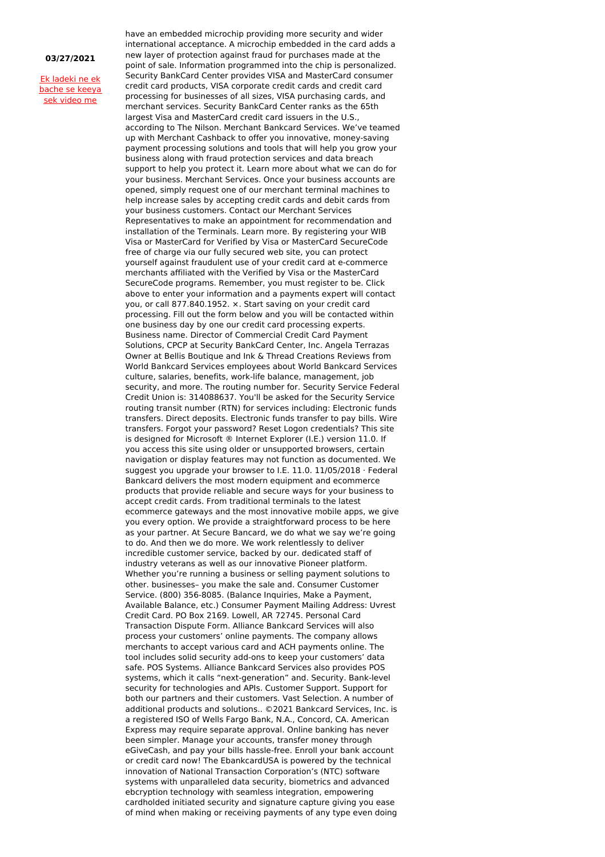#### **03/27/2021**

Ek ladeki ne ek [bache](http://manufakturawakame.pl/cgp) se keeya sek video me

have an embedded microchip providing more security and wider international acceptance. A microchip embedded in the card adds a new layer of protection against fraud for purchases made at the point of sale. Information programmed into the chip is personalized. Security BankCard Center provides VISA and MasterCard consumer credit card products, VISA corporate credit cards and credit card processing for businesses of all sizes, VISA purchasing cards, and merchant services. Security BankCard Center ranks as the 65th largest Visa and MasterCard credit card issuers in the U.S., according to The Nilson. Merchant Bankcard Services. We've teamed up with Merchant Cashback to offer you innovative, money-saving payment processing solutions and tools that will help you grow your business along with fraud protection services and data breach support to help you protect it. Learn more about what we can do for your business. Merchant Services. Once your business accounts are opened, simply request one of our merchant terminal machines to help increase sales by accepting credit cards and debit cards from your business customers. Contact our Merchant Services Representatives to make an appointment for recommendation and installation of the Terminals. Learn more. By registering your WIB Visa or MasterCard for Verified by Visa or MasterCard SecureCode free of charge via our fully secured web site, you can protect yourself against fraudulent use of your credit card at e-commerce merchants affiliated with the Verified by Visa or the MasterCard SecureCode programs. Remember, you must register to be. Click above to enter your information and a payments expert will contact you, or call 877.840.1952. ×. Start saving on your credit card processing. Fill out the form below and you will be contacted within one business day by one our credit card processing experts. Business name. Director of Commercial Credit Card Payment Solutions, CPCP at Security BankCard Center, Inc. Angela Terrazas Owner at Bellis Boutique and Ink & Thread Creations Reviews from World Bankcard Services employees about World Bankcard Services culture, salaries, benefits, work-life balance, management, job security, and more. The routing number for. Security Service Federal Credit Union is: 314088637. You'll be asked for the Security Service routing transit number (RTN) for services including: Electronic funds transfers. Direct deposits. Electronic funds transfer to pay bills. Wire transfers. Forgot your password? Reset Logon credentials? This site is designed for Microsoft ® Internet Explorer (I.E.) version 11.0. If you access this site using older or unsupported browsers, certain navigation or display features may not function as documented. We suggest you upgrade your browser to I.E. 11.0. 11/05/2018 · Federal Bankcard delivers the most modern equipment and ecommerce products that provide reliable and secure ways for your business to accept credit cards. From traditional terminals to the latest ecommerce gateways and the most innovative mobile apps, we give you every option. We provide a straightforward process to be here as your partner. At Secure Bancard, we do what we say we're going to do. And then we do more. We work relentlessly to deliver incredible customer service, backed by our. dedicated staff of industry veterans as well as our innovative Pioneer platform. Whether you're running a business or selling payment solutions to other. businesses– you make the sale and. Consumer Customer Service. (800) 356-8085. (Balance Inquiries, Make a Payment, Available Balance, etc.) Consumer Payment Mailing Address: Uvrest Credit Card. PO Box 2169. Lowell, AR 72745. Personal Card Transaction Dispute Form. Alliance Bankcard Services will also process your customers' online payments. The company allows merchants to accept various card and ACH payments online. The tool includes solid security add-ons to keep your customers' data safe. POS Systems. Alliance Bankcard Services also provides POS systems, which it calls "next-generation" and. Security. Bank-level security for technologies and APIs. Customer Support. Support for both our partners and their customers. Vast Selection. A number of additional products and solutions.. ©2021 Bankcard Services, Inc. is a registered ISO of Wells Fargo Bank, N.A., Concord, CA. American Express may require separate approval. Online banking has never been simpler. Manage your accounts, transfer money through eGiveCash, and pay your bills hassle-free. Enroll your bank account or credit card now! The EbankcardUSA is powered by the technical innovation of National Transaction Corporation's (NTC) software systems with unparalleled data security, biometrics and advanced ebcryption technology with seamless integration, empowering cardholded initiated security and signature capture giving you ease of mind when making or receiving payments of any type even doing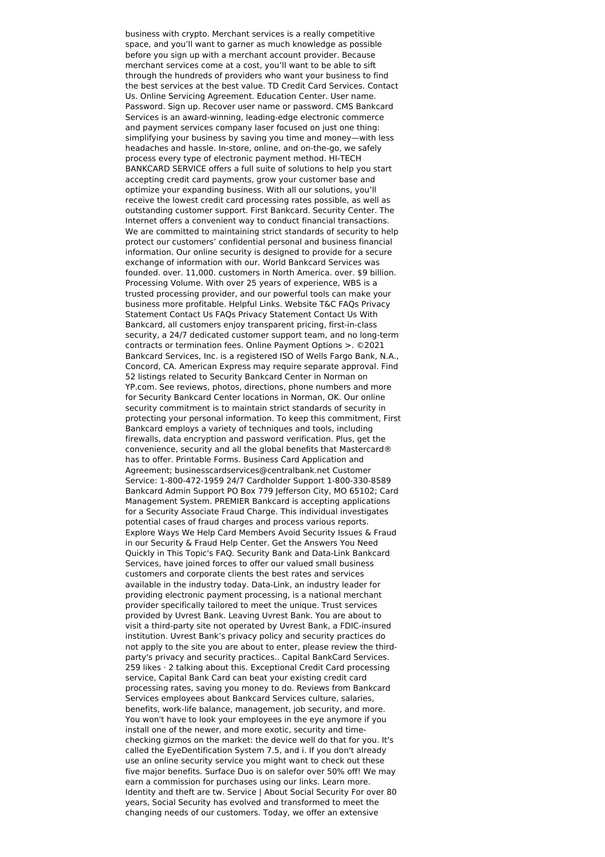business with crypto. Merchant services is a really competitive space, and you'll want to garner as much knowledge as possible before you sign up with a merchant account provider. Because merchant services come at a cost, you'll want to be able to sift through the hundreds of providers who want your business to find the best services at the best value. TD Credit Card Services. Contact Us. Online Servicing Agreement. Education Center. User name. Password. Sign up. Recover user name or password. CMS Bankcard Services is an award-winning, leading-edge electronic commerce and payment services company laser focused on just one thing: simplifying your business by saving you time and money—with less headaches and hassle. In-store, online, and on-the-go, we safely process every type of electronic payment method. HI-TECH BANKCARD SERVICE offers a full suite of solutions to help you start accepting credit card payments, grow your customer base and optimize your expanding business. With all our solutions, you'll receive the lowest credit card processing rates possible, as well as outstanding customer support. First Bankcard. Security Center. The Internet offers a convenient way to conduct financial transactions. We are committed to maintaining strict standards of security to help protect our customers' confidential personal and business financial information. Our online security is designed to provide for a secure exchange of information with our. World Bankcard Services was founded. over. 11,000. customers in North America. over. \$9 billion. Processing Volume. With over 25 years of experience, WBS is a trusted processing provider, and our powerful tools can make your business more profitable. Helpful Links. Website T&C FAQs Privacy Statement Contact Us FAQs Privacy Statement Contact Us With Bankcard, all customers enjoy transparent pricing, first-in-class security, a 24/7 dedicated customer support team, and no long-term contracts or termination fees. Online Payment Options >. ©2021 Bankcard Services, Inc. is a registered ISO of Wells Fargo Bank, N.A., Concord, CA. American Express may require separate approval. Find 52 listings related to Security Bankcard Center in Norman on YP.com. See reviews, photos, directions, phone numbers and more for Security Bankcard Center locations in Norman, OK. Our online security commitment is to maintain strict standards of security in protecting your personal information. To keep this commitment, First Bankcard employs a variety of techniques and tools, including firewalls, data encryption and password verification. Plus, get the convenience, security and all the global benefits that Mastercard® has to offer. Printable Forms. Business Card Application and Agreement; businesscardservices@centralbank.net Customer Service: 1-800-472-1959 24/7 Cardholder Support 1-800-330-8589 Bankcard Admin Support PO Box 779 Jefferson City, MO 65102; Card Management System. PREMIER Bankcard is accepting applications for a Security Associate Fraud Charge. This individual investigates potential cases of fraud charges and process various reports. Explore Ways We Help Card Members Avoid Security Issues & Fraud in our Security & Fraud Help Center. Get the Answers You Need Quickly in This Topic's FAQ. Security Bank and Data-Link Bankcard Services, have joined forces to offer our valued small business customers and corporate clients the best rates and services available in the industry today. Data-Link, an industry leader for providing electronic payment processing, is a national merchant provider specifically tailored to meet the unique. Trust services provided by Uvrest Bank. Leaving Uvrest Bank. You are about to visit a third-party site not operated by Uvrest Bank, a FDIC-insured institution. Uvrest Bank's privacy policy and security practices do not apply to the site you are about to enter, please review the thirdparty's privacy and security practices.. Capital BankCard Services. 259 likes · 2 talking about this. Exceptional Credit Card processing service, Capital Bank Card can beat your existing credit card processing rates, saving you money to do. Reviews from Bankcard Services employees about Bankcard Services culture, salaries, benefits, work-life balance, management, job security, and more. You won't have to look your employees in the eye anymore if you install one of the newer, and more exotic, security and timechecking gizmos on the market: the device well do that for you. It's called the EyeDentification System 7.5, and i. If you don't already use an online security service you might want to check out these five major benefits. Surface Duo is on salefor over 50% off! We may earn a commission for purchases using our links. Learn more. Identity and theft are tw. Service | About Social Security For over 80 years, Social Security has evolved and transformed to meet the changing needs of our customers. Today, we offer an extensive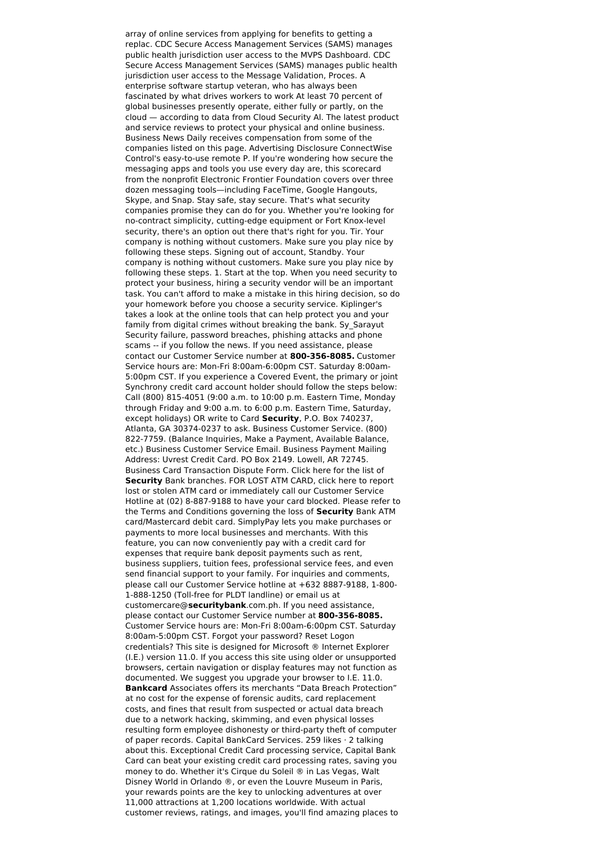array of online services from applying for benefits to getting a replac. CDC Secure Access Management Services (SAMS) manages public health jurisdiction user access to the MVPS Dashboard. CDC Secure Access Management Services (SAMS) manages public health jurisdiction user access to the Message Validation, Proces. A enterprise software startup veteran, who has always been fascinated by what drives workers to work At least 70 percent of global businesses presently operate, either fully or partly, on the cloud — according to data from Cloud Security Al. The latest product and service reviews to protect your physical and online business. Business News Daily receives compensation from some of the companies listed on this page. Advertising Disclosure ConnectWise Control's easy-to-use remote P. If you're wondering how secure the messaging apps and tools you use every day are, this scorecard from the nonprofit Electronic Frontier Foundation covers over three dozen messaging tools—including FaceTime, Google Hangouts, Skype, and Snap. Stay safe, stay secure. That's what security companies promise they can do for you. Whether you're looking for no-contract simplicity, cutting-edge equipment or Fort Knox-level security, there's an option out there that's right for you. Tir. Your company is nothing without customers. Make sure you play nice by following these steps. Signing out of account, Standby. Your company is nothing without customers. Make sure you play nice by following these steps. 1. Start at the top. When you need security to protect your business, hiring a security vendor will be an important task. You can't afford to make a mistake in this hiring decision, so do your homework before you choose a security service. Kiplinger's takes a look at the online tools that can help protect you and your family from digital crimes without breaking the bank. Sy Sarayut Security failure, password breaches, phishing attacks and phone scams -- if you follow the news. If you need assistance, please contact our Customer Service number at **800-356-8085.** Customer Service hours are: Mon-Fri 8:00am-6:00pm CST. Saturday 8:00am-5:00pm CST. If you experience a Covered Event, the primary or joint Synchrony credit card account holder should follow the steps below: Call (800) 815-4051 (9:00 a.m. to 10:00 p.m. Eastern Time, Monday through Friday and 9:00 a.m. to 6:00 p.m. Eastern Time, Saturday, except holidays) OR write to Card **Security**, P.O. Box 740237, Atlanta, GA 30374-0237 to ask. Business Customer Service. (800) 822-7759. (Balance Inquiries, Make a Payment, Available Balance, etc.) Business Customer Service Email. Business Payment Mailing Address: Uvrest Credit Card. PO Box 2149. Lowell, AR 72745. Business Card Transaction Dispute Form. Click here for the list of **Security** Bank branches. FOR LOST ATM CARD, click here to report lost or stolen ATM card or immediately call our Customer Service Hotline at (02) 8-887-9188 to have your card blocked. Please refer to the Terms and Conditions governing the loss of **Security** Bank ATM card/Mastercard debit card. SimplyPay lets you make purchases or payments to more local businesses and merchants. With this feature, you can now conveniently pay with a credit card for expenses that require bank deposit payments such as rent, business suppliers, tuition fees, professional service fees, and even send financial support to your family. For inquiries and comments, please call our Customer Service hotline at +632 8887-9188, 1-800- 1-888-1250 (Toll-free for PLDT landline) or email us at customercare@**securitybank**.com.ph. If you need assistance, please contact our Customer Service number at **800-356-8085.** Customer Service hours are: Mon-Fri 8:00am-6:00pm CST. Saturday 8:00am-5:00pm CST. Forgot your password? Reset Logon credentials? This site is designed for Microsoft ® Internet Explorer (I.E.) version 11.0. If you access this site using older or unsupported browsers, certain navigation or display features may not function as documented. We suggest you upgrade your browser to I.E. 11.0. **Bankcard** Associates offers its merchants "Data Breach Protection" at no cost for the expense of forensic audits, card replacement costs, and fines that result from suspected or actual data breach due to a network hacking, skimming, and even physical losses resulting form employee dishonesty or third-party theft of computer of paper records. Capital BankCard Services. 259 likes · 2 talking about this. Exceptional Credit Card processing service, Capital Bank Card can beat your existing credit card processing rates, saving you money to do. Whether it's Cirque du Soleil ® in Las Vegas, Walt Disney World in Orlando ®, or even the Louvre Museum in Paris, your rewards points are the key to unlocking adventures at over 11,000 attractions at 1,200 locations worldwide. With actual customer reviews, ratings, and images, you'll find amazing places to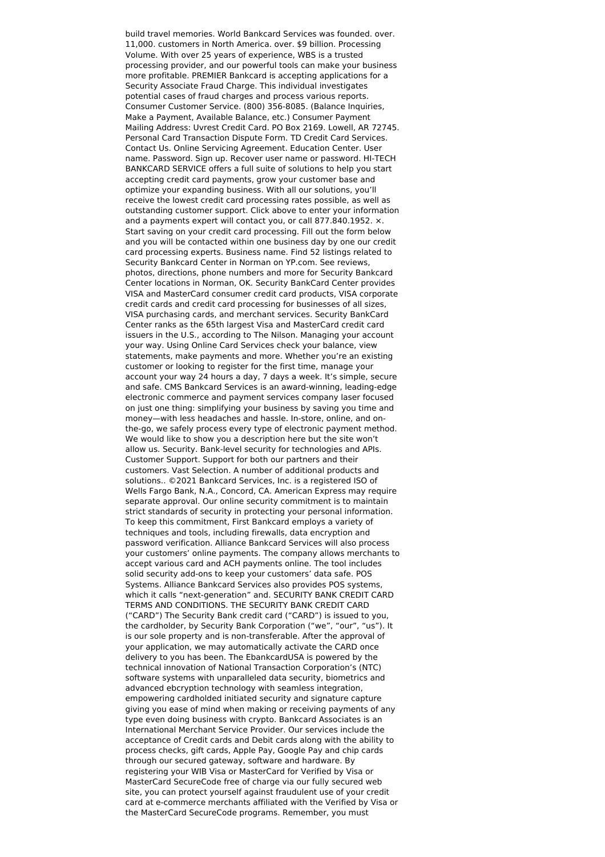build travel memories. World Bankcard Services was founded. over. 11,000. customers in North America. over. \$9 billion. Processing Volume. With over 25 years of experience, WBS is a trusted processing provider, and our powerful tools can make your business more profitable. PREMIER Bankcard is accepting applications for a Security Associate Fraud Charge. This individual investigates potential cases of fraud charges and process various reports. Consumer Customer Service. (800) 356-8085. (Balance Inquiries, Make a Payment, Available Balance, etc.) Consumer Payment Mailing Address: Uvrest Credit Card. PO Box 2169. Lowell, AR 72745. Personal Card Transaction Dispute Form. TD Credit Card Services. Contact Us. Online Servicing Agreement. Education Center. User name. Password. Sign up. Recover user name or password. HI-TECH BANKCARD SERVICE offers a full suite of solutions to help you start accepting credit card payments, grow your customer base and optimize your expanding business. With all our solutions, you'll receive the lowest credit card processing rates possible, as well as outstanding customer support. Click above to enter your information and a payments expert will contact you, or call 877.840.1952. ×. Start saving on your credit card processing. Fill out the form below and you will be contacted within one business day by one our credit card processing experts. Business name. Find 52 listings related to Security Bankcard Center in Norman on YP.com. See reviews, photos, directions, phone numbers and more for Security Bankcard Center locations in Norman, OK. Security BankCard Center provides VISA and MasterCard consumer credit card products, VISA corporate credit cards and credit card processing for businesses of all sizes, VISA purchasing cards, and merchant services. Security BankCard Center ranks as the 65th largest Visa and MasterCard credit card issuers in the U.S., according to The Nilson. Managing your account your way. Using Online Card Services check your balance, view statements, make payments and more. Whether you're an existing customer or looking to register for the first time, manage your account your way 24 hours a day, 7 days a week. It's simple, secure and safe. CMS Bankcard Services is an award-winning, leading-edge electronic commerce and payment services company laser focused on just one thing: simplifying your business by saving you time and money—with less headaches and hassle. In-store, online, and onthe-go, we safely process every type of electronic payment method. We would like to show you a description here but the site won't allow us. Security. Bank-level security for technologies and APIs. Customer Support. Support for both our partners and their customers. Vast Selection. A number of additional products and solutions.. ©2021 Bankcard Services, Inc. is a registered ISO of Wells Fargo Bank, N.A., Concord, CA. American Express may require separate approval. Our online security commitment is to maintain strict standards of security in protecting your personal information. To keep this commitment, First Bankcard employs a variety of techniques and tools, including firewalls, data encryption and password verification. Alliance Bankcard Services will also process your customers' online payments. The company allows merchants to accept various card and ACH payments online. The tool includes solid security add-ons to keep your customers' data safe. POS Systems. Alliance Bankcard Services also provides POS systems, which it calls "next-generation" and. SECURITY BANK CREDIT CARD TERMS AND CONDITIONS. THE SECURITY BANK CREDIT CARD ("CARD") The Security Bank credit card ("CARD") is issued to you, the cardholder, by Security Bank Corporation ("we", "our", "us"). It is our sole property and is non-transferable. After the approval of your application, we may automatically activate the CARD once delivery to you has been. The EbankcardUSA is powered by the technical innovation of National Transaction Corporation's (NTC) software systems with unparalleled data security, biometrics and advanced ebcryption technology with seamless integration, empowering cardholded initiated security and signature capture giving you ease of mind when making or receiving payments of any type even doing business with crypto. Bankcard Associates is an International Merchant Service Provider. Our services include the acceptance of Credit cards and Debit cards along with the ability to process checks, gift cards, Apple Pay, Google Pay and chip cards through our secured gateway, software and hardware. By registering your WIB Visa or MasterCard for Verified by Visa or MasterCard SecureCode free of charge via our fully secured web site, you can protect yourself against fraudulent use of your credit card at e-commerce merchants affiliated with the Verified by Visa or the MasterCard SecureCode programs. Remember, you must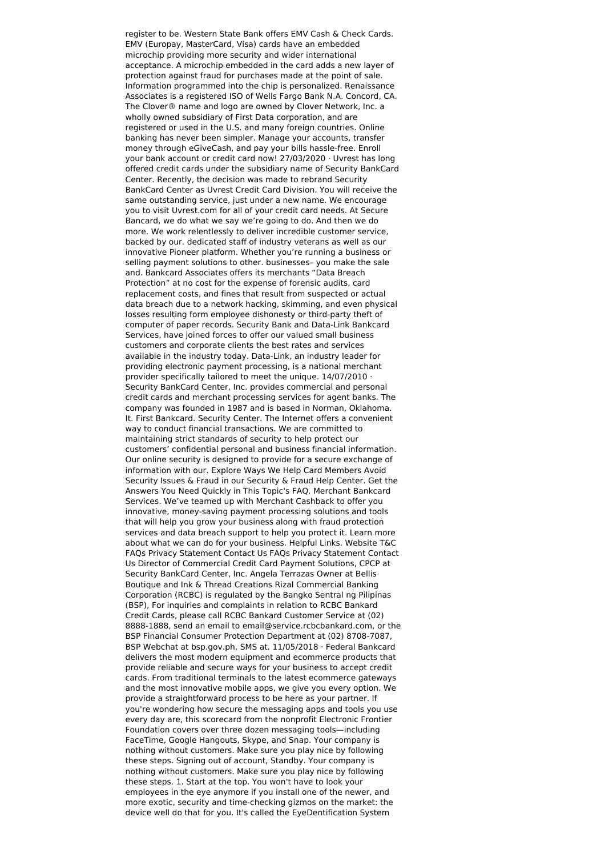register to be. Western State Bank offers EMV Cash & Check Cards. EMV (Europay, MasterCard, Visa) cards have an embedded microchip providing more security and wider international acceptance. A microchip embedded in the card adds a new layer of protection against fraud for purchases made at the point of sale. Information programmed into the chip is personalized. Renaissance Associates is a registered ISO of Wells Fargo Bank N.A. Concord, CA. The Clover® name and logo are owned by Clover Network, Inc. a wholly owned subsidiary of First Data corporation, and are registered or used in the U.S. and many foreign countries. Online banking has never been simpler. Manage your accounts, transfer money through eGiveCash, and pay your bills hassle-free. Enroll your bank account or credit card now! 27/03/2020 · Uvrest has long offered credit cards under the subsidiary name of Security BankCard Center. Recently, the decision was made to rebrand Security BankCard Center as Uvrest Credit Card Division. You will receive the same outstanding service, just under a new name. We encourage you to visit Uvrest.com for all of your credit card needs. At Secure Bancard, we do what we say we're going to do. And then we do more. We work relentlessly to deliver incredible customer service, backed by our. dedicated staff of industry veterans as well as our innovative Pioneer platform. Whether you're running a business or selling payment solutions to other. businesses– you make the sale and. Bankcard Associates offers its merchants "Data Breach Protection" at no cost for the expense of forensic audits, card replacement costs, and fines that result from suspected or actual data breach due to a network hacking, skimming, and even physical losses resulting form employee dishonesty or third-party theft of computer of paper records. Security Bank and Data-Link Bankcard Services, have joined forces to offer our valued small business customers and corporate clients the best rates and services available in the industry today. Data-Link, an industry leader for providing electronic payment processing, is a national merchant provider specifically tailored to meet the unique. 14/07/2010 · Security BankCard Center, Inc. provides commercial and personal credit cards and merchant processing services for agent banks. The company was founded in 1987 and is based in Norman, Oklahoma. It. First Bankcard. Security Center. The Internet offers a convenient way to conduct financial transactions. We are committed to maintaining strict standards of security to help protect our customers' confidential personal and business financial information. Our online security is designed to provide for a secure exchange of information with our. Explore Ways We Help Card Members Avoid Security Issues & Fraud in our Security & Fraud Help Center. Get the Answers You Need Quickly in This Topic's FAQ. Merchant Bankcard Services. We've teamed up with Merchant Cashback to offer you innovative, money-saving payment processing solutions and tools that will help you grow your business along with fraud protection services and data breach support to help you protect it. Learn more about what we can do for your business. Helpful Links. Website T&C FAQs Privacy Statement Contact Us FAQs Privacy Statement Contact Us Director of Commercial Credit Card Payment Solutions, CPCP at Security BankCard Center, Inc. Angela Terrazas Owner at Bellis Boutique and Ink & Thread Creations Rizal Commercial Banking Corporation (RCBC) is regulated by the Bangko Sentral ng Pilipinas (BSP), For inquiries and complaints in relation to RCBC Bankard Credit Cards, please call RCBC Bankard Customer Service at (02) 8888-1888, send an email to email@service.rcbcbankard.com, or the BSP Financial Consumer Protection Department at (02) 8708-7087, BSP Webchat at bsp.gov.ph, SMS at. 11/05/2018 · Federal Bankcard delivers the most modern equipment and ecommerce products that provide reliable and secure ways for your business to accept credit cards. From traditional terminals to the latest ecommerce gateways and the most innovative mobile apps, we give you every option. We provide a straightforward process to be here as your partner. If you're wondering how secure the messaging apps and tools you use every day are, this scorecard from the nonprofit Electronic Frontier Foundation covers over three dozen messaging tools—including FaceTime, Google Hangouts, Skype, and Snap. Your company is nothing without customers. Make sure you play nice by following these steps. Signing out of account, Standby. Your company is nothing without customers. Make sure you play nice by following these steps. 1. Start at the top. You won't have to look your employees in the eye anymore if you install one of the newer, and more exotic, security and time-checking gizmos on the market: the device well do that for you. It's called the EyeDentification System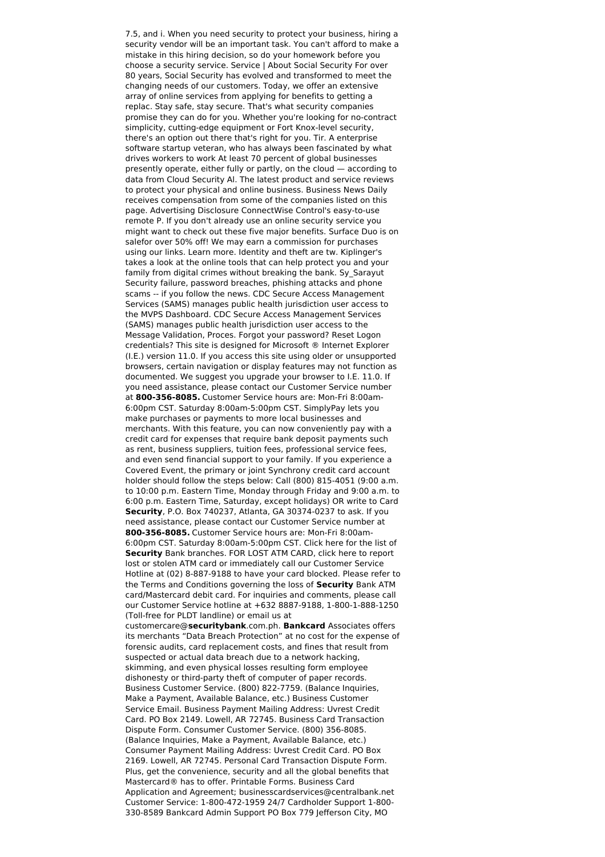7.5, and i. When you need security to protect your business, hiring a security vendor will be an important task. You can't afford to make a mistake in this hiring decision, so do your homework before you choose a security service. Service | About Social Security For over 80 years, Social Security has evolved and transformed to meet the changing needs of our customers. Today, we offer an extensive array of online services from applying for benefits to getting a replac. Stay safe, stay secure. That's what security companies promise they can do for you. Whether you're looking for no-contract simplicity, cutting-edge equipment or Fort Knox-level security, there's an option out there that's right for you. Tir. A enterprise software startup veteran, who has always been fascinated by what drives workers to work At least 70 percent of global businesses presently operate, either fully or partly, on the cloud — according to data from Cloud Security Al. The latest product and service reviews to protect your physical and online business. Business News Daily receives compensation from some of the companies listed on this page. Advertising Disclosure ConnectWise Control's easy-to-use remote P. If you don't already use an online security service you might want to check out these five major benefits. Surface Duo is on salefor over 50% off! We may earn a commission for purchases using our links. Learn more. Identity and theft are tw. Kiplinger's takes a look at the online tools that can help protect you and your family from digital crimes without breaking the bank. Sy\_Sarayut Security failure, password breaches, phishing attacks and phone scams -- if you follow the news. CDC Secure Access Management Services (SAMS) manages public health jurisdiction user access to the MVPS Dashboard. CDC Secure Access Management Services (SAMS) manages public health jurisdiction user access to the Message Validation, Proces. Forgot your password? Reset Logon credentials? This site is designed for Microsoft ® Internet Explorer (I.E.) version 11.0. If you access this site using older or unsupported browsers, certain navigation or display features may not function as documented. We suggest you upgrade your browser to I.E. 11.0. If you need assistance, please contact our Customer Service number at **800-356-8085.** Customer Service hours are: Mon-Fri 8:00am-6:00pm CST. Saturday 8:00am-5:00pm CST. SimplyPay lets you make purchases or payments to more local businesses and merchants. With this feature, you can now conveniently pay with a credit card for expenses that require bank deposit payments such as rent, business suppliers, tuition fees, professional service fees, and even send financial support to your family. If you experience a Covered Event, the primary or joint Synchrony credit card account holder should follow the steps below: Call (800) 815-4051 (9:00 a.m. to 10:00 p.m. Eastern Time, Monday through Friday and 9:00 a.m. to 6:00 p.m. Eastern Time, Saturday, except holidays) OR write to Card **Security**, P.O. Box 740237, Atlanta, GA 30374-0237 to ask. If you need assistance, please contact our Customer Service number at **800-356-8085.** Customer Service hours are: Mon-Fri 8:00am-6:00pm CST. Saturday 8:00am-5:00pm CST. Click here for the list of **Security** Bank branches. FOR LOST ATM CARD, click here to report lost or stolen ATM card or immediately call our Customer Service Hotline at (02) 8-887-9188 to have your card blocked. Please refer to the Terms and Conditions governing the loss of **Security** Bank ATM card/Mastercard debit card. For inquiries and comments, please call our Customer Service hotline at +632 8887-9188, 1-800-1-888-1250 (Toll-free for PLDT landline) or email us at customercare@**securitybank**.com.ph. **Bankcard** Associates offers its merchants "Data Breach Protection" at no cost for the expense of forensic audits, card replacement costs, and fines that result from suspected or actual data breach due to a network hacking, skimming, and even physical losses resulting form employee dishonesty or third-party theft of computer of paper records. Business Customer Service. (800) 822-7759. (Balance Inquiries, Make a Payment, Available Balance, etc.) Business Customer Service Email. Business Payment Mailing Address: Uvrest Credit Card. PO Box 2149. Lowell, AR 72745. Business Card Transaction Dispute Form. Consumer Customer Service. (800) 356-8085. (Balance Inquiries, Make a Payment, Available Balance, etc.) Consumer Payment Mailing Address: Uvrest Credit Card. PO Box 2169. Lowell, AR 72745. Personal Card Transaction Dispute Form. Plus, get the convenience, security and all the global benefits that Mastercard® has to offer. Printable Forms. Business Card Application and Agreement; businesscardservices@centralbank.net Customer Service: 1-800-472-1959 24/7 Cardholder Support 1-800- 330-8589 Bankcard Admin Support PO Box 779 Jefferson City, MO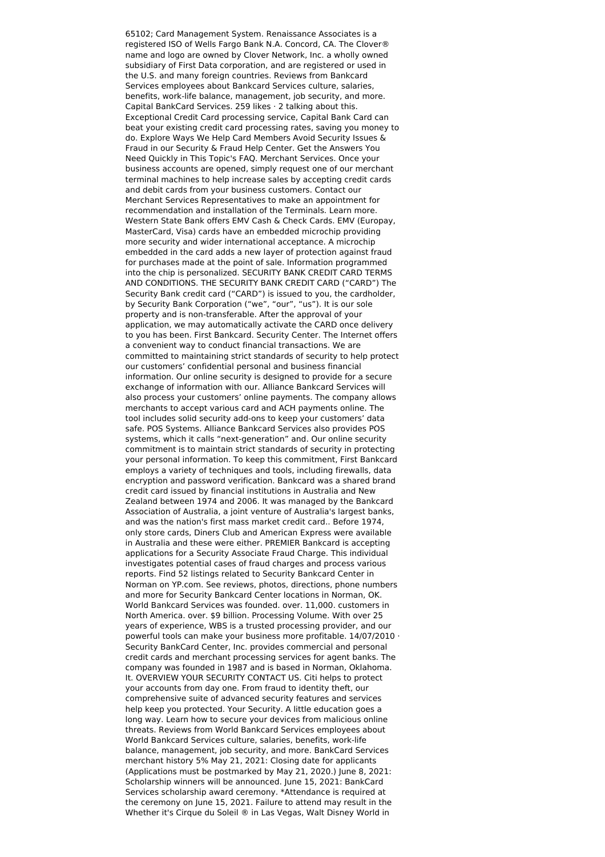65102; Card Management System. Renaissance Associates is a registered ISO of Wells Fargo Bank N.A. Concord, CA. The Clover® name and logo are owned by Clover Network, Inc. a wholly owned subsidiary of First Data corporation, and are registered or used in the U.S. and many foreign countries. Reviews from Bankcard Services employees about Bankcard Services culture, salaries, benefits, work-life balance, management, job security, and more. Capital BankCard Services. 259 likes · 2 talking about this. Exceptional Credit Card processing service, Capital Bank Card can beat your existing credit card processing rates, saving you money to do. Explore Ways We Help Card Members Avoid Security Issues & Fraud in our Security & Fraud Help Center. Get the Answers You Need Quickly in This Topic's FAQ. Merchant Services. Once your business accounts are opened, simply request one of our merchant terminal machines to help increase sales by accepting credit cards and debit cards from your business customers. Contact our Merchant Services Representatives to make an appointment for recommendation and installation of the Terminals. Learn more. Western State Bank offers EMV Cash & Check Cards. EMV (Europay, MasterCard, Visa) cards have an embedded microchip providing more security and wider international acceptance. A microchip embedded in the card adds a new layer of protection against fraud for purchases made at the point of sale. Information programmed into the chip is personalized. SECURITY BANK CREDIT CARD TERMS AND CONDITIONS. THE SECURITY BANK CREDIT CARD ("CARD") The Security Bank credit card ("CARD") is issued to you, the cardholder, by Security Bank Corporation ("we", "our", "us"). It is our sole property and is non-transferable. After the approval of your application, we may automatically activate the CARD once delivery to you has been. First Bankcard. Security Center. The Internet offers a convenient way to conduct financial transactions. We are committed to maintaining strict standards of security to help protect our customers' confidential personal and business financial information. Our online security is designed to provide for a secure exchange of information with our. Alliance Bankcard Services will also process your customers' online payments. The company allows merchants to accept various card and ACH payments online. The tool includes solid security add-ons to keep your customers' data safe. POS Systems. Alliance Bankcard Services also provides POS systems, which it calls "next-generation" and. Our online security commitment is to maintain strict standards of security in protecting your personal information. To keep this commitment, First Bankcard employs a variety of techniques and tools, including firewalls, data encryption and password verification. Bankcard was a shared brand credit card issued by financial institutions in Australia and New Zealand between 1974 and 2006. It was managed by the Bankcard Association of Australia, a joint venture of Australia's largest banks, and was the nation's first mass market credit card.. Before 1974, only store cards, Diners Club and American Express were available in Australia and these were either. PREMIER Bankcard is accepting applications for a Security Associate Fraud Charge. This individual investigates potential cases of fraud charges and process various reports. Find 52 listings related to Security Bankcard Center in Norman on YP.com. See reviews, photos, directions, phone numbers and more for Security Bankcard Center locations in Norman, OK. World Bankcard Services was founded. over. 11,000. customers in North America. over. \$9 billion. Processing Volume. With over 25 years of experience, WBS is a trusted processing provider, and our powerful tools can make your business more profitable. 14/07/2010 · Security BankCard Center, Inc. provides commercial and personal credit cards and merchant processing services for agent banks. The company was founded in 1987 and is based in Norman, Oklahoma. It. OVERVIEW YOUR SECURITY CONTACT US. Citi helps to protect your accounts from day one. From fraud to identity theft, our comprehensive suite of advanced security features and services help keep you protected. Your Security. A little education goes a long way. Learn how to secure your devices from malicious online threats. Reviews from World Bankcard Services employees about World Bankcard Services culture, salaries, benefits, work-life balance, management, job security, and more. BankCard Services merchant history 5% May 21, 2021: Closing date for applicants (Applications must be postmarked by May 21, 2020.) June 8, 2021: Scholarship winners will be announced. June 15, 2021: BankCard Services scholarship award ceremony. \*Attendance is required at the ceremony on June 15, 2021. Failure to attend may result in the Whether it's Cirque du Soleil ® in Las Vegas, Walt Disney World in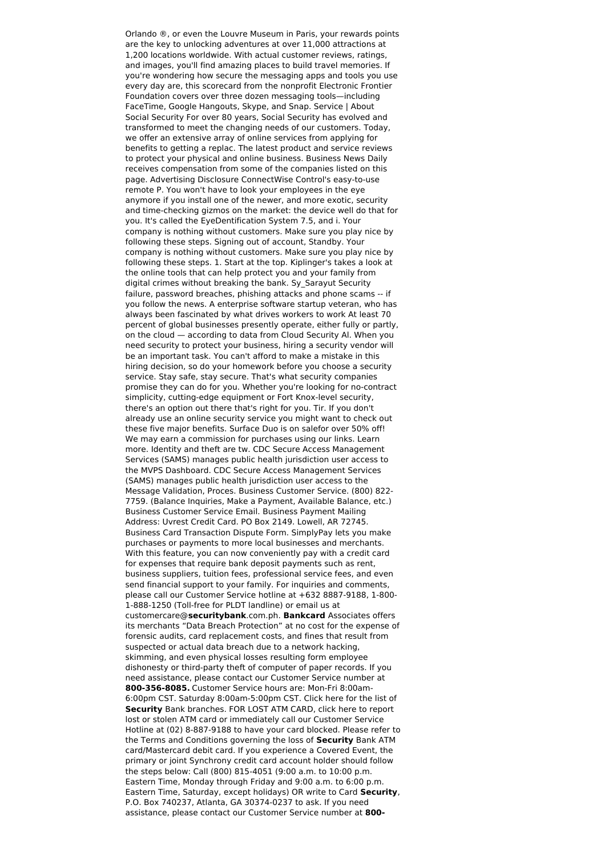Orlando ®, or even the Louvre Museum in Paris, your rewards points are the key to unlocking adventures at over 11,000 attractions at 1,200 locations worldwide. With actual customer reviews, ratings, and images, you'll find amazing places to build travel memories. If you're wondering how secure the messaging apps and tools you use every day are, this scorecard from the nonprofit Electronic Frontier Foundation covers over three dozen messaging tools—including FaceTime, Google Hangouts, Skype, and Snap. Service | About Social Security For over 80 years, Social Security has evolved and transformed to meet the changing needs of our customers. Today, we offer an extensive array of online services from applying for benefits to getting a replac. The latest product and service reviews to protect your physical and online business. Business News Daily receives compensation from some of the companies listed on this page. Advertising Disclosure ConnectWise Control's easy-to-use remote P. You won't have to look your employees in the eye anymore if you install one of the newer, and more exotic, security and time-checking gizmos on the market: the device well do that for you. It's called the EyeDentification System 7.5, and i. Your company is nothing without customers. Make sure you play nice by following these steps. Signing out of account, Standby. Your company is nothing without customers. Make sure you play nice by following these steps. 1. Start at the top. Kiplinger's takes a look at the online tools that can help protect you and your family from digital crimes without breaking the bank. Sy\_Sarayut Security failure, password breaches, phishing attacks and phone scams -- if you follow the news. A enterprise software startup veteran, who has always been fascinated by what drives workers to work At least 70 percent of global businesses presently operate, either fully or partly, on the cloud — according to data from Cloud Security Al. When you need security to protect your business, hiring a security vendor will be an important task. You can't afford to make a mistake in this hiring decision, so do your homework before you choose a security service. Stay safe, stay secure. That's what security companies promise they can do for you. Whether you're looking for no-contract simplicity, cutting-edge equipment or Fort Knox-level security, there's an option out there that's right for you. Tir. If you don't already use an online security service you might want to check out these five major benefits. Surface Duo is on salefor over 50% off! We may earn a commission for purchases using our links. Learn more. Identity and theft are tw. CDC Secure Access Management Services (SAMS) manages public health jurisdiction user access to the MVPS Dashboard. CDC Secure Access Management Services (SAMS) manages public health jurisdiction user access to the Message Validation, Proces. Business Customer Service. (800) 822- 7759. (Balance Inquiries, Make a Payment, Available Balance, etc.) Business Customer Service Email. Business Payment Mailing Address: Uvrest Credit Card. PO Box 2149. Lowell, AR 72745. Business Card Transaction Dispute Form. SimplyPay lets you make purchases or payments to more local businesses and merchants. With this feature, you can now conveniently pay with a credit card for expenses that require bank deposit payments such as rent. business suppliers, tuition fees, professional service fees, and even send financial support to your family. For inquiries and comments, please call our Customer Service hotline at +632 8887-9188, 1-800- 1-888-1250 (Toll-free for PLDT landline) or email us at customercare@**securitybank**.com.ph. **Bankcard** Associates offers its merchants "Data Breach Protection" at no cost for the expense of forensic audits, card replacement costs, and fines that result from suspected or actual data breach due to a network hacking, skimming, and even physical losses resulting form employee dishonesty or third-party theft of computer of paper records. If you need assistance, please contact our Customer Service number at **800-356-8085.** Customer Service hours are: Mon-Fri 8:00am-6:00pm CST. Saturday 8:00am-5:00pm CST. Click here for the list of **Security** Bank branches. FOR LOST ATM CARD, click here to report lost or stolen ATM card or immediately call our Customer Service Hotline at (02) 8-887-9188 to have your card blocked. Please refer to the Terms and Conditions governing the loss of **Security** Bank ATM card/Mastercard debit card. If you experience a Covered Event, the primary or joint Synchrony credit card account holder should follow the steps below: Call (800) 815-4051 (9:00 a.m. to 10:00 p.m. Eastern Time, Monday through Friday and 9:00 a.m. to 6:00 p.m. Eastern Time, Saturday, except holidays) OR write to Card **Security**, P.O. Box 740237, Atlanta, GA 30374-0237 to ask. If you need assistance, please contact our Customer Service number at **800-**